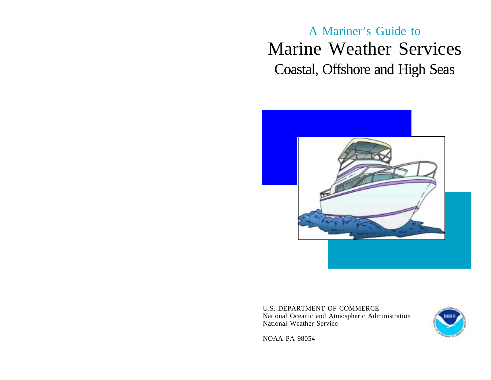A Mariner's Guide to Marine Weather Services Coastal, Offshore and High Seas



U.S. DEPARTMENT OF COMMERCE National Oceanic and Atmospheric Administration National Weather Service



NOAA PA 98054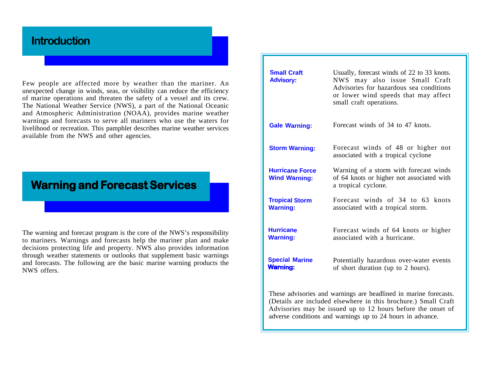# **Introduction**

Few people are affected more by weather than the mariner. An unexpected change in winds, seas, or visibility can reduce the efficiency of marine operations and threaten the safety of a vessel and its crew. The National Weather Service (NWS), a part of the National Oceanic and Atmospheric Administration (NOAA), provides marine weather warnings and forecasts to serve all mariners who use the waters for livelihood or recreation. This pamphlet describes marine weather services available from the NWS and other agencies.

# **Warning and Forecast Services**

The warning and forecast program is the core of the NWS's responsibility to mariners. Warnings and forecasts help the mariner plan and make decisions protecting life and property. NWS also provides information through weather statements or outlooks that supplement basic warnings and forecasts. The following are the basic marine warning products the NWS offers.

| <b>Small Craft</b><br><b>Advisory:</b>                                                                                                                                                            | Usually, forecast winds of 22 to 33 knots.<br>NWS may also issue Small Craft<br>Advisories for hazardous sea conditions<br>or lower wind speeds that may affect<br>small craft operations. |  |  |
|---------------------------------------------------------------------------------------------------------------------------------------------------------------------------------------------------|--------------------------------------------------------------------------------------------------------------------------------------------------------------------------------------------|--|--|
| <b>Gale Warning:</b>                                                                                                                                                                              | Forecast winds of 34 to 47 knots.                                                                                                                                                          |  |  |
| <b>Storm Warning:</b>                                                                                                                                                                             | Forecast winds of 48 or higher not<br>associated with a tropical cyclone                                                                                                                   |  |  |
| <b>Hurricane Force</b><br><b>Wind Warning:</b>                                                                                                                                                    | Warning of a storm with forecast winds<br>of 64 knots or higher not associated with<br>a tropical cyclone.                                                                                 |  |  |
| <b>Tropical Storm</b><br><b>Warning:</b>                                                                                                                                                          | Forecast winds of 34 to 63 knots<br>associated with a tropical storm.                                                                                                                      |  |  |
| <b>Hurricane</b><br><b>Warning:</b>                                                                                                                                                               | Forecast winds of 64 knots or higher<br>associated with a hurricane.                                                                                                                       |  |  |
| <b>Special Marine</b><br><b>Warning:</b>                                                                                                                                                          | Potentially hazardous over-water events<br>of short duration (up to 2 hours).                                                                                                              |  |  |
| These advisories and warnings are headlined in marine forecasts.<br>(Details are included elsewhere in this brochure.) Small Craft<br>Advisories may be issued up to 12 hours before the onset of |                                                                                                                                                                                            |  |  |

adverse conditions and warnings up to 24 hours in advance.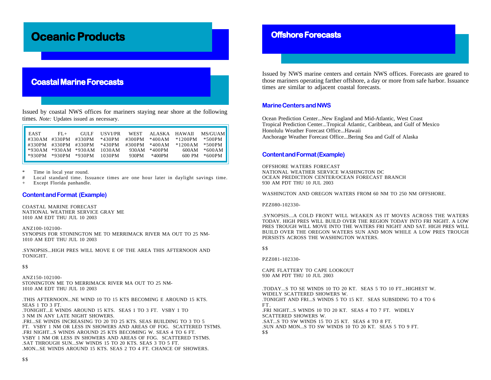# **Oceanic Pr Oceanic Products**

# **Coastal Marine Forecasts**

Issued by coastal NWS offices for mariners staying near shore at the following times. *Note:* Updates issued as necessary.

| EAST | $FI +$ |                               | GULF USVI/PR |       |                 |                                                                                                                                          | WEST ALASKA HAWAII MS/GUAME        |
|------|--------|-------------------------------|--------------|-------|-----------------|------------------------------------------------------------------------------------------------------------------------------------------|------------------------------------|
|      |        |                               |              |       |                 | $\text{\#330AM } \text{\#330PM } \text{\#330PM } \text{\#430PM } \text{\#300PM } \text{\#400AM } \text{\#1200PM }$                       | *500PM                             |
|      |        |                               |              |       |                 | $\text{\#330PM}$ $\text{\#330PM}$ $\text{\#330PM}$ $\text{\#430PM}$ $\text{\#300PM}$ $\text{\#400AM}$ $\text{\#1200AM}$ $\text{\#500PM}$ |                                    |
|      |        | $*930AM *930AM *930AM 1030AM$ |              |       | 930AM $*400$ PM |                                                                                                                                          | $600AM$ $*600AM$                   |
|      |        | *930PM *930PM *930PM 1030PM   |              | 930PM | *400PM          |                                                                                                                                          | $600 \text{ PM}$ * $600 \text{PM}$ |
|      |        |                               |              |       |                 |                                                                                                                                          |                                    |

Time in local year round.

Local standard time. Issuance times are one hour later in daylight savings time.

Except Florida panhandle.

### **Content and Format (Example)**

COASTAL MARINE FORECAST NATIONAL WEATHER SERVICE GRAY ME 1010 AM EDT THU JUL 10 2003

ANZ100-102100- SYNOPSIS FOR STONINGTON ME TO MERRIMACK RIVER MA OUT TO 25 NM-1010 AM EDT THU JUL 10 2003

.SYNOPSIS...HIGH PRES WILL MOVE E OF THE AREA THIS AFTERNOON AND TONIGHT.

\$ \$

ANZ150-102100- STONINGTON ME TO MERRIMACK RIVER MA OUT TO 25 NM-1010 AM EDT THU JUL 10 2003

.THIS AFTERNOON...NE WIND 10 TO 15 KTS BECOMING E AROUND 15 KTS. SEAS 1 TO 3 FT. .TONIGHT...E WINDS AROUND 15 KTS. SEAS 1 TO 3 FT. VSBY 1 TO 3 NM IN ANY LATE NIGHT SHOWERS. .FRI...SE WINDS INCREASING TO 20 TO 25 KTS. SEAS BUILDING TO 3 TO 5 FT. VSBY 1 NM OR LESS IN SHOWERS AND AREAS OF FOG. SCATTERED TSTMS. .FRI NIGHT...S WINDS AROUND 25 KTS BECOMING W. SEAS 4 TO 6 FT. VSBY 1 NM OR LESS IN SHOWERS AND AREAS OF FOG. SCATTERED TSTMS. .SAT THROUGH SUN...SW WINDS 15 TO 20 KTS. SEAS 3 TO 5 FT. .MON...SE WINDS AROUND 15 KTS. SEAS 2 TO 4 FT. CHANCE OF SHOWERS.

## **Offshore Forecasts**

Issued by NWS marine centers and certain NWS offices. Forecasts are geared to those mariners operating farther offshore, a day or more from safe harbor. Issuance times are similar to adjacent coastal forecasts.

### **Marine Centers and NWS**

Ocean Prediction Center...New England and Mid-Atlantic, West Coast Tropical Prediction Center...Tropical Atlantic, Caribbean, and Gulf of Mexico Honolulu Weather Forecast Office...Hawaii Anchorage Weather Forecast Office...Bering Sea and Gulf of Alaska

### **Content and Format (Example)**

OFFSHORE WATERS FORECAST NATIONAL WEATHER SERVICE WASHINGTON DC OCEAN PREDICTION CENTER/OCEAN FORECAST BRANCH 930 AM PDT THU 10 JUL 2003

WASHINGTON AND OREGON WATERS FROM 60 NM TO 250 NM OFFSHORE.

#### PZZ080-102330-

.SYNOPSIS...A COLD FRONT WILL WEAKEN AS IT MOVES ACROSS THE WATERS TODAY. HIGH PRES WILL BUILD OVER THE REGION TODAY INTO FRI NIGHT. A LOW PRES TROUGH WILL MOVE INTO THE WATERS FRI NIGHT AND SAT. HIGH PRES WILL BUILD OVER THE OREGON WATERS SUN AND MON WHILE A LOW PRES TROUGH PERSISTS ACROSS THE WASHINGTON WATERS.

\$ \$

PZZ081-102330-

CAPE FLATTERY TO CAPE LOOKOUT 930 AM PDT THU 10 JUL 2003

.TODAY...S TO SE WINDS 10 TO 20 KT. SEAS 5 TO 10 FT...HIGHEST W. WIDELY SCATTERED SHOWERS W. .TONIGHT AND FRI...S WINDS 5 TO 15 KT. SEAS SUBSIDING TO 4 TO 6 FT. .FRI NIGHT...S WINDS 10 TO 20 KT. SEAS 4 TO 7 FT. WIDELY SCATTERED SHOWERS W. .SAT...S TO SW WINDS 15 TO 25 KT. SEAS 4 TO 8 FT. .SUN AND MON...S TO SW WINDS 10 TO 20 KT. SEAS 5 TO 9 FT. \$ \$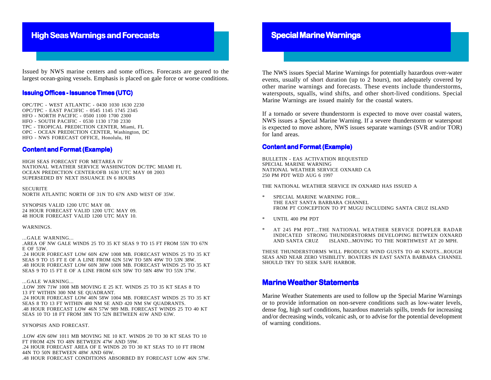# **High Seas Warnings and Forecasts**

Issued by NWS marine centers and some offices. Forecasts are geared to the largest ocean-going vessels. Emphasis is placed on gale force or worse conditions.

### **Issuing Offices - Issuance Times (UTC)**

OPC/TPC - WEST ATLANTIC - 0430 1030 1630 2230 OPC/TPC - EAST PACIFIC - 0545 1145 1745 2345 HFO - NORTH PACIFIC - 0500 1100 1700 2300 HFO - SOUTH PACIFIC - 0530 1130 1730 2330 TPC - TROPICAL PREDICTION CENTER, Miami, FL OPC - OCEAN PREDICTION CENTER, Washington, DC HFO - NWS FORECAST OFFICE, Honolulu, HI

### **Content and Format (Example)**

HIGH SEAS FORECAST FOR METAREA IV NATIONAL WEATHER SERVICE WASHINGTON DC/TPC MIAMI FL OCEAN PREDICTION CENTER/OFB 1630 UTC MAY 08 2003 SUPERSEDED BY NEXT ISSUANCE IN 6 HOURS

**SECURITE** NORTH ATLANTIC NORTH OF 31N TO 67N AND WEST OF 35W.

SYNOPSIS VALID 1200 UTC MAY 08. 24 HOUR FORECAST VALID 1200 UTC MAY 09. 48 HOUR FORECAST VALID 1200 UTC MAY 10.

#### WARNINGS.

#### ...GALE WARNING...

.AREA OF NW GALE WINDS 25 TO 35 KT SEAS 9 TO 15 FT FROM 55N TO 67N E OF 53W.

.24 HOUR FORECAST LOW 60N 42W 1008 MB. FORECAST WINDS 25 TO 35 KT SEAS 9 TO 15 FT E OF A LINE FROM 62N 51W TO 58N 49W TO 53N 38W. .48 HOUR FORECAST LOW 60N 38W 1008 MB. FORECAST WINDS 25 TO 35 KT SEAS 9 TO 15 FT E OF A LINE FROM 61N 50W TO 58N 48W TO 55N 37W.

#### ...GALE WARNING...

.LOW 39N 71W 1008 MB MOVING E 25 KT. WINDS 25 TO 35 KT SEAS 8 TO 13 FT WITHIN 300 NM SE QUADRANT.

.24 HOUR FORECAST LOW 40N 58W 1004 MB. FORECAST WINDS 25 TO 35 KT SEAS 8 TO 13 FT WITHIN 480 NM SE AND 420 NM SW QUADRANTS. .48 HOUR FORECAST LOW 46N 57W 989 MB. FORECAST WINDS 25 TO 40 KT SEAS 10 TO 18 FT FROM 38N TO 52N BETWEEN 41W AND 63W.

#### SYNOPSIS AND FORECAST.

.LOW 45N 60W 1011 MB MOVING NE 10 KT. WINDS 20 TO 30 KT SEAS TO 10 FT FROM 42N TO 48N BETWEEN 47W AND 59W. .24 HOUR FORECAST AREA OF E WINDS 20 TO 30 KT SEAS TO 10 FT FROM 44N TO 50N BETWEEN 48W AND 60W. .48 HOUR FORECAST CONDITIONS ABSORBED BY FORECAST LOW 46N 57W.

## **Special Marine Warnings**

The NWS issues Special Marine Warnings for potentially hazardous over-water events, usually of short duration (up to 2 hours), not adequately covered by other marine warnings and forecasts. These events include thunderstorms, waterspouts, squalls, wind shifts, and other short-lived conditions. Special Marine Warnings are issued mainly for the coastal waters.

If a tornado or severe thunderstorm is expected to move over coastal waters, NWS issues a Special Marine Warning. If a severe thunderstorm or waterspout is expected to move ashore, NWS issues separate warnings (SVR and/or TOR) for land areas.

### **Content and Format (Example)**

BULLETIN - EAS ACTIVATION REQUESTED SPECIAL MARINE WARNING NATIONAL WEATHER SERVICE OXNARD CA 250 PM PDT WED AUG 6 1997

THE NATIONAL WEATHER SERVICE IN OXNARD HAS ISSUED A

- SPECIAL MARINE WARNING FOR... THE EAST SANTA BARBARA CHANNEL FROM PT CONCEPTION TO PT MUGU INCLUDING SANTA CRUZ ISLAND
- UNTIL 400 PM PDT
- AT 245 PM PDT...THE NATIONAL WEATHER SERVICE DOPPLER RADAR INDICATED STRONG THUNDERSTORMS DEVELOPING BETWEEN OXNARD AND SANTA CRUZ ISLAND...MOVING TO THE NORTHWEST AT 20 MPH.

THESE THUNDERSTORMS WILL PRODUCE WIND GUSTS TO 40 KNOTS...ROUGH SEAS AND NEAR ZERO VISIBILITY. BOATERS IN EAST SANTA BARBARA CHANNEL SHOULD TRY TO SEEK SAFE HARBOR.

## **Marine Weather Statements**

Marine Weather Statements are used to follow up the Special Marine Warnings or to provide information on non-severe conditions such as low-water levels, dense fog, high surf conditions, hazardous materials spills, trends for increasing and/or decreasing winds, volcanic ash, or to advise for the potential development of warning conditions.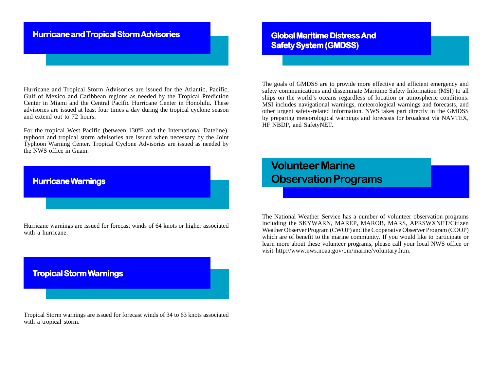# **Hurricane and Tropical Storm Advisories**

Hurricane and Tropical Storm Advisories are issued for the Atlantic, Pacific, Gulf of Mexico and Caribbean regions as needed by the Tropical Prediction Center in Miami and the Central Pacific Hurricane Center in Honolulu. These advisories are issued at least four times a day during the tropical cyclone season and extend out to 72 hours.

For the tropical West Pacific (between 130°E and the International Dateline), typhoon and tropical storm advisories are issued when necessary by the Joint Typhoon Warning Center. Tropical Cyclone Advisories are issued as needed by the NWS office in Guam.

# **Hurricane Warnings**

Hurricane warnings are issued for forecast winds of 64 knots or higher associated with a hurricane.



Tropical Storm warnings are issued for forecast winds of 34 to 63 knots associated with a tropical storm.

**Global Maritime Distress And Safety System (GMDSS)** 

The goals of GMDSS are to provide more effective and efficient emergency and safety communications and disseminate Maritime Safety Information (MSI) to all ships on the world's oceans regardless of location or atmospheric conditions. MSI includes navigational warnings, meteorological warnings and forecasts, and other urgent safety-related information. NWS takes part directly in the GMDSS by preparing meteorological warnings and forecasts for broadcast via NAVTEX, HF NBDP, and SafetyNET.

# **Volunteer Marine Observation Programs**

The National Weather Service has a number of volunteer observation programs including the SKYWARN, MAREP, MAROB, MARS, APRSWXNET/Citizen Weather Observer Program (CWOP) and the Cooperative Observer Program (COOP) which are of benefit to the marine community. If you would like to participate or learn more about these volunteer programs, please call your local NWS office or visit http://www.nws.noaa.gov/om/marine/voluntary.htm.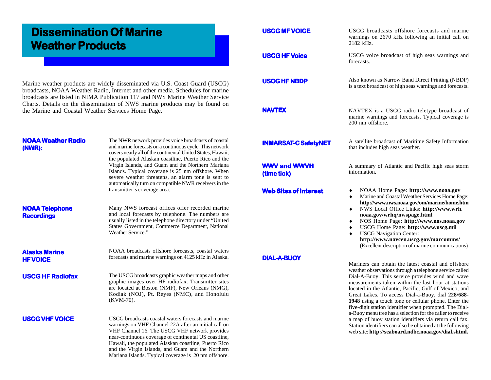# **Dissemination Of Marine Dissemination Of Marine Weather Products**

Marine weather products are widely disseminated via U.S. Coast Guard (USCG) broadcasts, NOAA Weather Radio, Internet and other media. Schedules for marine broadcasts are listed in NIMA Publication 117 and NWS Marine Weather Service Charts. Details on the dissemination of NWS marine products may be found on the Marine and Coastal Weather Services Home Page.

### **NOAA Weather Radio (NWR):**

The NWR network provides voice broadcasts of coastal and marine forecasts on a continuous cycle. This network covers nearly all of the continental United States, Hawaii, the populated Alaskan coastline, Puerto Rico and the Virgin Islands, and Guam and the Northern Mariana Islands. Typical coverage is 25 nm offshore. When severe weather threatens, an alarm tone is sent to automatically turn on compatible NWR receivers in the transmitter's coverage area.

## **NOAA Telephone Recordings**

Many NWS forecast offices offer recorded marine and local forecasts by telephone. The numbers are usually listed in the telephone directory under "United States Government, Commerce Department, National Weather Service."

**Alaska Marine HF VOICE**

NOAA broadcasts offshore forecasts, coastal waters forecasts and marine warnings on 4125 kHz in Alaska.

**USCG HF Radiofax**

The USCG broadcasts graphic weather maps and other graphic images over HF radiofax. Transmitter sites are located at Boston (NMF), New Orleans (NMG), Kodiak (NOJ), Pt. Reyes (NMC), and Honolulu (KVM-70).

### **USCG VHF VOICE**

USCG broadcasts coastal waters forecasts and marine warnings on VHF Channel 22A after an initial call on VHF Channel 16. The USCG VHF network provides near-continuous coverage of continental US coastline, Hawaii, the populated Alaskan coastline, Puerto Rico and the Virgin Islands, and Guam and the Northern Mariana Islands. Typical coverage is 20 nm offshore.

| <b>USCG MF VOICE</b>               | USCG broadcasts offshore forecasts and marine<br>warnings on 2670 kHz following an initial call on<br>2182 kHz.                                                                                                                                                                                                                                                                                                                                                                                                                                                                                                                                                                                       |  |  |  |
|------------------------------------|-------------------------------------------------------------------------------------------------------------------------------------------------------------------------------------------------------------------------------------------------------------------------------------------------------------------------------------------------------------------------------------------------------------------------------------------------------------------------------------------------------------------------------------------------------------------------------------------------------------------------------------------------------------------------------------------------------|--|--|--|
| <b>USCG HF Voice</b>               | USCG voice broadcast of high seas warnings and<br>forecasts.                                                                                                                                                                                                                                                                                                                                                                                                                                                                                                                                                                                                                                          |  |  |  |
| <b>USCG HF NBDP</b>                | Also known as Narrow Band Direct Printing (NBDP)<br>is a text broadcast of high seas warnings and forecasts.                                                                                                                                                                                                                                                                                                                                                                                                                                                                                                                                                                                          |  |  |  |
| <b>NAVTEX</b>                      | NAVTEX is a USCG radio teletype broadcast of<br>marine warnings and forecasts. Typical coverage is<br>200 nm offshore.                                                                                                                                                                                                                                                                                                                                                                                                                                                                                                                                                                                |  |  |  |
| <b>INMARSAT-C SafetyNET</b>        | A satellite broadcast of Maritime Safety Information<br>that includes high seas weather.                                                                                                                                                                                                                                                                                                                                                                                                                                                                                                                                                                                                              |  |  |  |
| <b>WWV and WWVH</b><br>(time tick) | A summary of Atlantic and Pacific high seas storm<br>information.                                                                                                                                                                                                                                                                                                                                                                                                                                                                                                                                                                                                                                     |  |  |  |
| <b>Web Sites of Interest</b>       | NOAA Home Page: http://www.noaa.gov<br>٠<br>Marine and Coastal Weather Services Home Page:<br>٠<br>http://www.nws.noaa.gov/om/marine/home.htm<br>NWS Local Office Links: http://www.wrh.<br>٠<br>noaa.gov/wrhq/nwspage.html<br>NOS Home Page: http://www.nos.noaa.gov<br>USCG Home Page: http://www.uscg.mil<br><b>USCG</b> Navigation Center:<br>http://www.navcen.uscg.gov/marcomms/<br>(Excellent description of marine communications)                                                                                                                                                                                                                                                            |  |  |  |
| <b>DIAL-A-BUOY</b>                 | Mariners can obtain the latest coastal and offshore<br>weather observations through a telephone service called<br>Dial-A-Buoy. This service provides wind and wave<br>measurements taken within the last hour at stations<br>located in the Atlantic, Pacific, Gulf of Mexico, and<br>Great Lakes. To access Dial-a-Buoy, dial 228/688-<br>1948 using a touch tone or cellular phone. Enter the<br>five-digit station identifier when prompted. The Dial-<br>a-Buoy menu tree has a selection for the caller to receive<br>a map of buoy station identifiers via return call fax.<br>Station identifiers can also be obtained at the following<br>web site: http://seaboard.ndbc.noaa.gov/dial.shtml. |  |  |  |